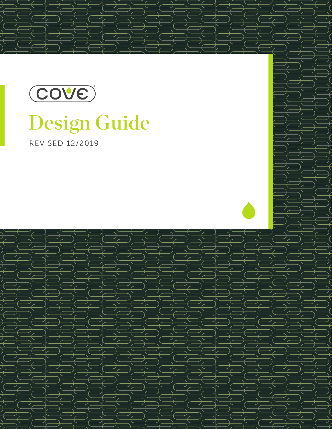

# Design Guide

REVISED 12/2019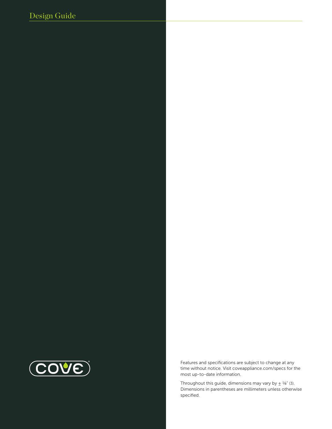# Design Guide



Features and specifications are subject to change at any time without notice. Visit coveappliance.com/specs for the most up-to-date information.

Throughout this guide, dimensions may vary by  $\pm$  1/8" (3). Dimensions in parentheses are millimeters unless otherwise specified.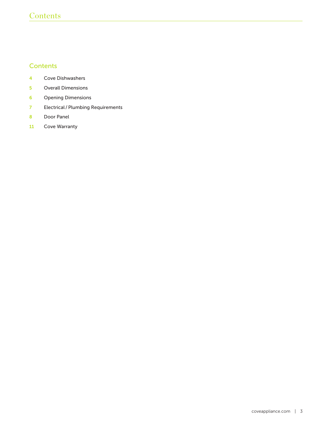# **Contents**

# **Contents**

- Cove Dishwashers
- Overall Dimensions
- Opening Dimensions
- Electrical / Plumbing Requirements
- Door Panel
- Cove Warranty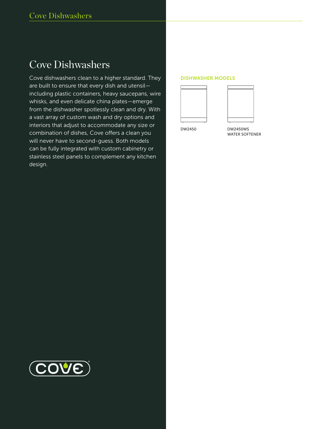# Cove Dishwashers

Cove dishwashers clean to a higher standard. They are built to ensure that every dish and utensil including plastic containers, heavy saucepans, wire whisks, and even delicate china plates—emerge from the dishwasher spotlessly clean and dry. With a vast array of custom wash and dry options and interiors that adjust to accommodate any size or combination of dishes, Cove offers a clean you will never have to second-guess. Both models can be fully integrated with custom cabinetry or stainless steel panels to complement any kitchen design.

#### DISHWASHER MODELS





DW2450

DW2450WS WATER SOFTENER

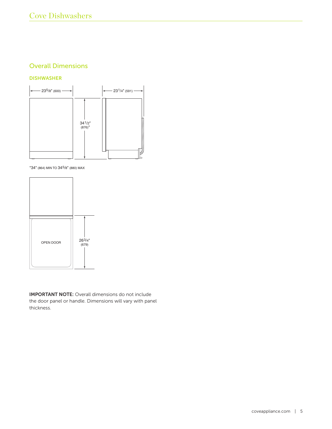# Overall Dimensions

#### DISHWASHER



\*34" (864) MIN TO 345/8" (880) MAX



IMPORTANT NOTE: Overall dimensions do not include the door panel or handle. Dimensions will vary with panel thickness.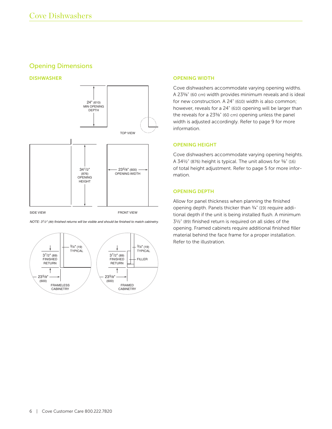# Opening Dimensions

DISHWASHER



*NOTE: 31/2" (89) finished returns will be visible and should be finished to match cabinetry.*



#### OPENING WIDTH

Cove dishwashers accommodate varying opening widths. A 23<sup>5</sup>/<sub>8</sub>" (60 cm) width provides minimum reveals and is ideal for new construction. A 24" (610) width is also common; however, reveals for a 24" (610) opening will be larger than the reveals for a 23<sup>5</sup>/<sub>8</sub>" (60 cm) opening unless the panel width is adjusted accordingly. Refer to page 9 for more information.

#### OPENING HEIGHT

Cove dishwashers accommodate varying opening heights. A 34 1/2" (876) height is typical. The unit allows for 5/8" (16) of total height adjustment. Refer to page 5 for more information.

#### OPENING DEPTH

Allow for panel thickness when planning the finished opening depth. Panels thicker than 3/4" (19) require additional depth if the unit is being installed flush. A minimum 3 1/2" (89) finished return is required on all sides of the opening. Framed cabinets require additional finished filler material behind the face frame for a proper installation. Refer to the illustration.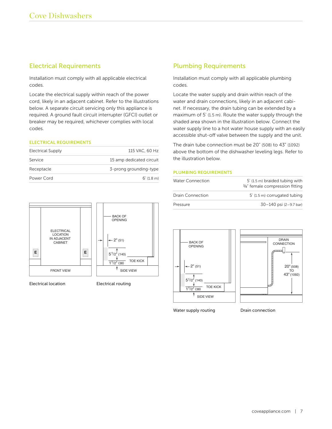# Electrical Requirements

Installation must comply with all applicable electrical codes.

Locate the electrical supply within reach of the power cord, likely in an adjacent cabinet. Refer to the illustrations below. A separate circuit servicing only this appliance is required. A ground fault circuit interrupter (GFCI) outlet or breaker may be required, whichever complies with local codes.

#### ELECTRICAL REQUIREMENTS

| <b>Electrical Supply</b> | 115 VAC, 60 Hz           |
|--------------------------|--------------------------|
| Service                  | 15 amp dedicated circuit |
| Receptacle               | 3-prong grounding-type   |
| Power Cord               | $6'$ (1.8 m)             |



Electrical location Electrical routing

# Plumbing Requirements

Installation must comply with all applicable plumbing codes.

Locate the water supply and drain within reach of the water and drain connections, likely in an adjacent cabinet. If necessary, the drain tubing can be extended by a maximum of 5' (1.5 m). Route the water supply through the shaded area shown in the illustration below. Connect the water supply line to a hot water house supply with an easily accessible shut-off valve between the supply and the unit.

The drain tube connection must be 20" (508) to 43" (1092) above the bottom of the dishwasher leveling legs. Refer to the illustration below.

#### PLUMBING REQUIREMENTS

| <b>Water Connection</b> | 5' (1.5 m) braided tubing with<br>3/8" female compression fitting |  |
|-------------------------|-------------------------------------------------------------------|--|
| Drain Connection        | 5' (1.5 m) corrugated tubing                                      |  |
| Pressure                | 30-140 psi (2-9.7 bar)                                            |  |





Water supply routing **Drain connection**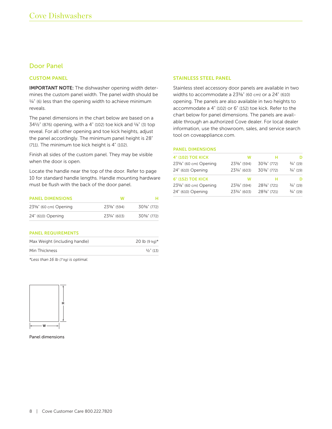# Door Panel

#### CUSTOM PANEL

IMPORTANT NOTE: The dishwasher opening width determines the custom panel width. The panel width should be  $\frac{1}{4}$ " (6) less than the opening width to achieve minimum reveals.

The panel dimensions in the chart below are based on a 34 1/2" (876) opening, with a 4" (102) toe kick and 1/8" (3) top reveal. For all other opening and toe kick heights, adjust the panel accordingly. The minimum panel height is 28" (711). The minimum toe kick height is 4" (102).

Finish all sides of the custom panel. They may be visible when the door is open.

Locate the handle near the top of the door. Refer to page 10 for standard handle lengths. Handle mounting hardware must be flush with the back of the door panel.

| <b>PANEL DIMENSIONS</b> | w                       |                         |
|-------------------------|-------------------------|-------------------------|
| 23%" (60 cm) Opening    | $23\frac{3}{8}$ " (594) | $30\frac{3}{8}$ " (772) |
| 24" (610) Opening       | 233/4" (603)            | $30\frac{3}{8}$ " (772) |

#### PANEL REQUIREMENTS

| $\frac{1}{2}$ " (13) |
|----------------------|
|                      |

*\*Less than 16 lb (7 kg) is optimal.*



Panel dimensions

#### STAINLESS STEEL PANEL

Stainless steel accessory door panels are available in two widths to accommodate a 23<sup>5</sup>/<sub>8</sub>" (60 cm) or a 24" (610) opening. The panels are also available in two heights to accommodate a 4" (102) or 6" (152) toe kick. Refer to the chart below for panel dimensions. The panels are available through an authorized Cove dealer. For local dealer information, use the showroom, sales, and service search tool on coveappliance.com.

#### PANEL DIMENSIONS

| <b>4" (102) TOE KICK</b> | w                       |                         |                      |
|--------------------------|-------------------------|-------------------------|----------------------|
| 23%" (60 cm) Opening     | 23%" (594)              | $30\frac{3}{8}$ " (772) | $\frac{3}{4}$ " (19) |
| 24" (610) Opening        | 233/4" (603)            | 303/8" (772)            | $\frac{3}{4}$ " (19) |
| <b>6" (152) TOE KICK</b> | w                       |                         |                      |
| 23%" (60 cm) Opening     | $23\frac{3}{8}$ " (594) | 283/8" (721)            | $\frac{3}{4}$ " (19) |
| 24" (610) Opening        | 233/4" (603)            | 283/8" (721)            | $3/4$ " (19)         |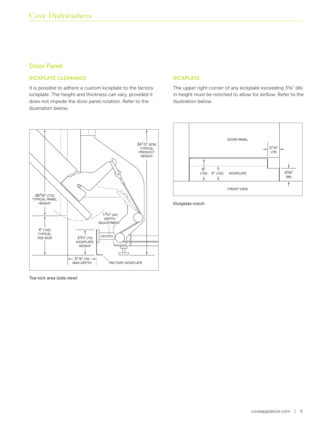# Door Panel

#### KICKPLATE CLEARANCE

It is possible to adhere a custom kickplate to the factory kickplate. The height and thickness can vary, provided it does not impede the door panel rotation. Refer to the illustration below.



Toe kick area (side view)

#### KICKPLATE

The upper right corner of any kickplate exceeding 3<sup>3</sup>/8" (86) in height must be notched to allow for airflow. Refer to the illustration below.



Kickplate notch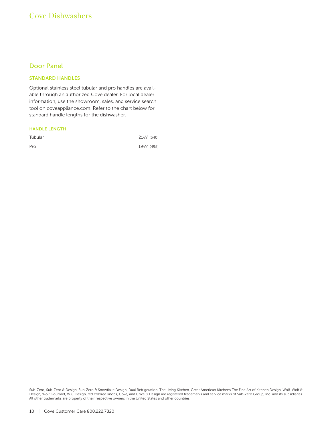# Door Panel

#### STANDARD HANDLES

Optional stainless steel tubular and pro handles are available through an authorized Cove dealer. For local dealer information, use the showroom, sales, and service search tool on coveappliance.com. Refer to the chart below for standard handle lengths for the dishwasher.

#### HANDLE LENGTH

| Tubular | 211/4" (540) |
|---------|--------------|
| Pro     | 191/2" (495) |

Sub-Zero, Sub-Zero & Design, Sub-Zero & Snowflake Design, Dual Refrigeration, The Living Kitchen, Great American Kitchens The Fine Art of Kitchen Design, Wolf, Wolf & Design, Wolf Gourmet, W & Design, red colored knobs, Cove, and Cove & Design are registered trademarks and service marks of Sub-Zero Group, Inc. and its subsidiaries. All other trademarks are property of their respective owners in the United States and other countries.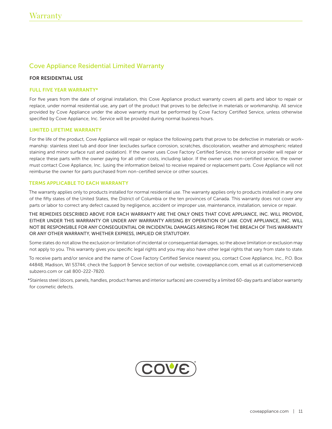# Cove Appliance Residential Limited Warranty

#### FOR RESIDENTIAL USE

#### FULL FIVE YEAR WARRANTY\*

For five years from the date of original installation, this Cove Appliance product warranty covers all parts and labor to repair or replace, under normal residential use, any part of the product that proves to be defective in materials or workmanship. All service provided by Cove Appliance under the above warranty must be performed by Cove Factory Certified Service, unless otherwise specified by Cove Appliance, Inc. Service will be provided during normal business hours.

#### LIMITED LIFETIME WARRANTY

For the life of the product, Cove Appliance will repair or replace the following parts that prove to be defective in materials or workmanship: stainless steel tub and door liner (excludes surface corrosion, scratches, discoloration, weather and atmospheric related staining and minor surface rust and oxidation). If the owner uses Cove Factory Certified Service, the service provider will repair or replace these parts with the owner paying for all other costs, including labor. If the owner uses non-certified service, the owner must contact Cove Appliance, Inc. (using the information below) to receive repaired or replacement parts. Cove Appliance will not reimburse the owner for parts purchased from non-certified service or other sources.

#### TERMS APPLICABLE TO EACH WARRANTY

The warranty applies only to products installed for normal residential use. The warranty applies only to products installed in any one of the fifty states of the United States, the District of Columbia or the ten provinces of Canada. This warranty does not cover any parts or labor to correct any defect caused by negligence, accident or improper use, maintenance, installation, service or repair.

THE REMEDIES DESCRIBED ABOVE FOR EACH WARRANTY ARE THE ONLY ONES THAT COVE APPLIANCE, INC. WILL PROVIDE, EITHER UNDER THIS WARRANTY OR UNDER ANY WARRANTY ARISING BY OPERATION OF LAW. COVE APPLIANCE, INC. WILL NOT BE RESPONSIBLE FOR ANY CONSEQUENTIAL OR INCIDENTAL DAMAGES ARISING FROM THE BREACH OF THIS WARRANTY OR ANY OTHER WARRANTY, WHETHER EXPRESS, IMPLIED OR STATUTORY.

Some states do not allow the exclusion or limitation of incidental or consequential damages, so the above limitation or exclusion may not apply to you. This warranty gives you specific legal rights and you may also have other legal rights that vary from state to state.

To receive parts and/or service and the name of Cove Factory Certified Service nearest you, contact Cove Appliance, Inc., P.O. Box 44848, Madison, WI 53744; check the Support & Service section of our website, coveappliance.com, email us at customerservice@ subzero.com or call 800-222-7820.

\*Stainless steel (doors, panels, handles, product frames and interior surfaces) are covered by a limited 60-day parts and labor warranty for cosmetic defects.